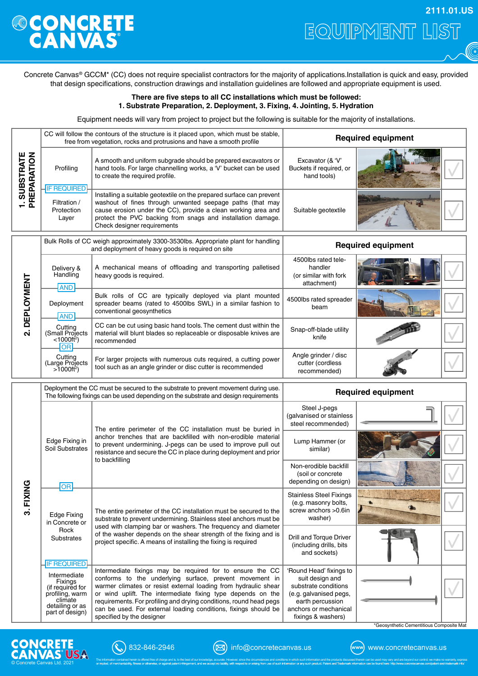## **ONCRETE**

EQUIPMENT LIST **2111.01.US**

 $\widehat{\mathbb{G}}$ 

Concrete Canvas® GCCM\* (CC) does not require specialist contractors for the majority of applications.Installation is quick and easy, provided that design specifications, construction drawings and installation guidelines are followed and appropriate equipment is used.

## **There are five steps to all CC installations which must be followed: 1. Substrate Preparation, 2. Deployment, 3. Fixing, 4. Jointing, 5. Hydration**

Equipment needs will vary from project to project but the following is suitable for the majority of installations.

| <b>1. SUBSTRATE</b><br>PREPARATION | CC will follow the contours of the structure is it placed upon, which must be stable,<br>free from vegetation, rocks and protrusions and have a smooth profile             |                                                                                                                                                                                                                                                                                                  | <b>Required equipment</b>                                              |  |  |
|------------------------------------|----------------------------------------------------------------------------------------------------------------------------------------------------------------------------|--------------------------------------------------------------------------------------------------------------------------------------------------------------------------------------------------------------------------------------------------------------------------------------------------|------------------------------------------------------------------------|--|--|
|                                    | Profiling<br><b>IF REQUIRED</b>                                                                                                                                            | A smooth and uniform subgrade should be prepared excavators or<br>hand tools. For large channelling works, a 'V' bucket can be used<br>to create the required profile.                                                                                                                           | Excavator (& 'V'<br>Buckets if required, or<br>hand tools)             |  |  |
|                                    | Filtration /<br>Protection<br>Layer                                                                                                                                        | Installing a suitable geotextile on the prepared surface can prevent<br>washout of fines through unwanted seepage paths (that may<br>cause erosion under the CC), provide a clean working area and<br>protect the PVC backing from snags and installation damage.<br>Check designer requirements | Suitable geotextile                                                    |  |  |
| 2. DEPLOYMENT                      | Bulk Rolls of CC weigh approximately 3300-3530lbs. Appropriate plant for handling<br>and deployment of heavy goods is required on site                                     |                                                                                                                                                                                                                                                                                                  | <b>Required equipment</b>                                              |  |  |
|                                    | Delivery &<br>Handling<br><b>AND</b>                                                                                                                                       | A mechanical means of offloading and transporting palletised<br>heavy goods is required.                                                                                                                                                                                                         | 4500lbs rated tele-<br>handler<br>(or similar with fork<br>attachment) |  |  |
|                                    | Deployment<br><b>AND</b>                                                                                                                                                   | Bulk rolls of CC are typically deployed via plant mounted<br>spreader beams (rated to 4500lbs SWL) in a similar fashion to<br>conventional geosynthetics                                                                                                                                         | 4500lbs rated spreader<br>beam                                         |  |  |
|                                    | Cutting<br>(Small Projects)<br>$< 1000 \text{ft}^2$ )<br>OR                                                                                                                | CC can be cut using basic hand tools. The cement dust within the<br>material will blunt blades so replaceable or disposable knives are<br>recommended                                                                                                                                            | Snap-off-blade utility<br>knife                                        |  |  |
|                                    | Cutting<br>(Large Projects<br>$>1000$ ft <sup>2</sup> )                                                                                                                    | For larger projects with numerous cuts required, a cutting power<br>tool such as an angle grinder or disc cutter is recommended                                                                                                                                                                  | Angle grinder / disc<br>cutter (cordless<br>recommended)               |  |  |
| ပ္ခ<br>3. FIXI                     | Deployment the CC must be secured to the substrate to prevent movement during use.<br>The following fixings can be used depending on the substrate and design requirements |                                                                                                                                                                                                                                                                                                  | <b>Required equipment</b>                                              |  |  |
|                                    | Edge Fixing in<br>Soil Substrates<br><b>OR</b>                                                                                                                             | The entire perimeter of the CC installation must be buried in<br>anchor trenches that are backfilled with non-erodible material<br>to prevent undermining. J-pegs can be used to improve pull out<br>resistance and secure the CC in place during deployment and prior<br>to backfilling         | Steel J-pegs<br>(galvanised or stainless<br>steel recommended)         |  |  |
|                                    |                                                                                                                                                                            |                                                                                                                                                                                                                                                                                                  | Lump Hammer (or<br>similar)                                            |  |  |
|                                    |                                                                                                                                                                            |                                                                                                                                                                                                                                                                                                  | Non-erodible backfill<br>(soil or concrete<br>depending on design)     |  |  |
|                                    | <b>Edge Fixing</b><br>in Concrete or                                                                                                                                       |                                                                                                                                                                                                                                                                                                  | <b>Stainless Steel Fixings</b>                                         |  |  |
|                                    |                                                                                                                                                                            | The entire perimeter of the CC installation must be secured to the<br>substrate to prevent undermining. Stainless steel anchors must be                                                                                                                                                          | (e.g. masonry bolts,<br>screw anchors > 0.6in<br>washer)               |  |  |
|                                    | Rock<br><b>Substrates</b><br><b>IF REQUIRED</b>                                                                                                                            | used with clamping bar or washers. The frequency and diameter<br>of the washer depends on the shear strength of the fixing and is<br>project specific. A means of installing the fixing is required                                                                                              | Drill and Torque Driver<br>(including drills, bits<br>and sockets)     |  |  |





in the formulation or the media of the control of the state of the state of the state of the state of the state of the state of the state of the state of the state of the state of the state of the state of the state of the